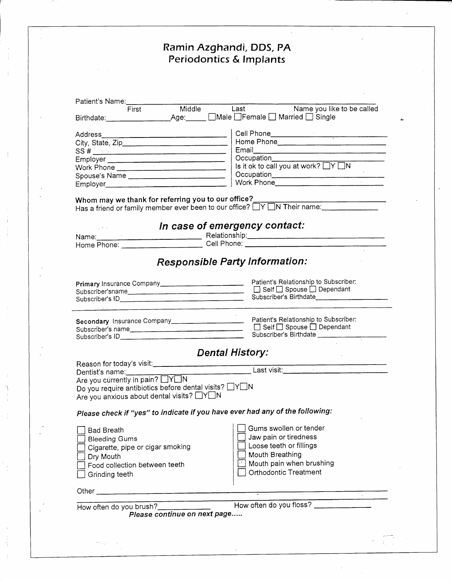## **Ramin Azghandi, DOS, PA Periodontics & Implants**

| Patient's Name: [19]                                                                                                                                                                                                                                                                                                                                                                                                   |                                                                                                                                                    |
|------------------------------------------------------------------------------------------------------------------------------------------------------------------------------------------------------------------------------------------------------------------------------------------------------------------------------------------------------------------------------------------------------------------------|----------------------------------------------------------------------------------------------------------------------------------------------------|
| Middle<br>First                                                                                                                                                                                                                                                                                                                                                                                                        | Last Name you like to be called                                                                                                                    |
| $SS # \n\frac{1}{2}$<br>Employer<br>Work Phone<br>Employer <u>expression and the series of the series of the series of the series of the series of the series of the series of the series of the series of the series of the series of the series of the series of the series of t</u><br>Whom may we thank for referring you to our office?<br>Has a friend or family member ever been to our office? NON Their name: | Occupation______________<br>Is it ok to call you at work? $\Box Y \Box N$                                                                          |
|                                                                                                                                                                                                                                                                                                                                                                                                                        | In case of emergency contact:<br>Relationship: Relationship:                                                                                       |
|                                                                                                                                                                                                                                                                                                                                                                                                                        | <b>Responsible Party Information:</b>                                                                                                              |
| Subscriber'sname                                                                                                                                                                                                                                                                                                                                                                                                       | Patient's Relationship to Subscriber.<br>□ Self □ Spouse □ Dependant<br>Subscriber's Birthdate________________________                             |
|                                                                                                                                                                                                                                                                                                                                                                                                                        | Patient's Relationship to Subscriber:<br>Subscriber's Birthdate                                                                                    |
|                                                                                                                                                                                                                                                                                                                                                                                                                        | <b>Dental History:</b>                                                                                                                             |
| Reason for today's visit:<br>Dentist's name:<br>Are you currently in pain? $\Box Y \Box N$<br>Do you require antibiotics before dental visits? $\Box$ Y $\Box$ N<br>Are you anxious about dental visits? NYON                                                                                                                                                                                                          |                                                                                                                                                    |
| Please check if "yes" to indicate if you have ever had any of the following:                                                                                                                                                                                                                                                                                                                                           |                                                                                                                                                    |
| Bad Breath<br><b>Bleeding Gums</b><br>Cigarette, pipe or cigar smoking<br>Dry Mouth<br>Food collection between teeth<br>Grinding teeth                                                                                                                                                                                                                                                                                 | Gums swollen or tender<br>Jaw pain or tiredness<br>Loose teeth or fillings<br>Mouth Breathing<br>Mouth pain when brushing<br>Orthodontic Treatment |
|                                                                                                                                                                                                                                                                                                                                                                                                                        |                                                                                                                                                    |
| <u> 1980 - Jan Barnett, fransk politik (d. 1980)</u><br>How often do you brush?______________<br>Please continue on next page                                                                                                                                                                                                                                                                                          | How often do you floss?                                                                                                                            |
| せんいしゃ                                                                                                                                                                                                                                                                                                                                                                                                                  |                                                                                                                                                    |